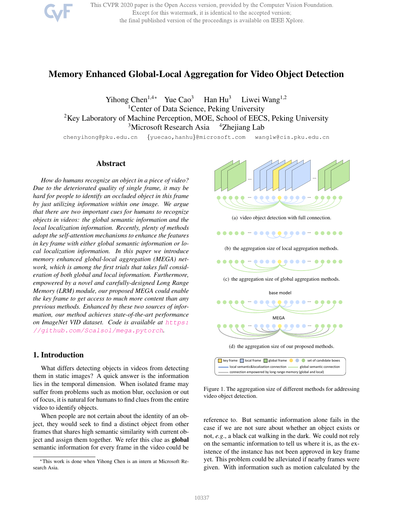

This CVPR 2020 paper is the Open Access version, provided by the Computer Vision Foundation. Except for this watermark, it is identical to the accepted version; the final published version of the proceedings is available on IEEE Xplore.

# Memory Enhanced Global-Local Aggregation for Video Object Detection

Yihong Chen<sup>1,4∗</sup> Yue Cao<sup>3</sup> Han Hu<sup>3</sup> Liwei Wang<sup>1,2</sup> <sup>1</sup>Center of Data Science, Peking University <sup>2</sup>Key Laboratory of Machine Perception, MOE, School of EECS, Peking University <sup>3</sup>Microsoft Research Asia <sup>4</sup>Zhejiang Lab

chenyihong@pku.edu.cn {yuecao,hanhu}@microsoft.com wanglw@cis.pku.edu.cn

# Abstract

*How do humans recognize an object in a piece of video? Due to the deteriorated quality of single frame, it may be hard for people to identify an occluded object in this frame by just utilizing information within one image. We argue that there are two important cues for humans to recognize objects in videos: the global semantic information and the local localization information. Recently, plenty of methods adopt the self-attention mechanisms to enhance the features in key frame with either global semantic information or local localization information. In this paper we introduce memory enhanced global-local aggregation (MEGA) network, which is among the first trials that takes full consideration of both global and local information. Furthermore, empowered by a novel and carefully-designed Long Range Memory (LRM) module, our proposed MEGA could enable the key frame to get access to much more content than any previous methods. Enhanced by these two sources of information, our method achieves state-of-the-art performance on ImageNet VID dataset. Code is available at https: //github.com/Scalsol/mega.pytorch.*

# 1. Introduction

What differs detecting objects in videos from detecting them in static images? A quick answer is the information lies in the temporal dimension. When isolated frame may suffer from problems such as motion blur, occlusion or out of focus, it is natural for humans to find clues from the entire video to identify objects.

When people are not certain about the identity of an object, they would seek to find a distinct object from other frames that shares high semantic similarity with current object and assign them together. We refer this clue as global semantic information for every frame in the video could be



(a) video object detection with full connection.

... ...

(b) the aggregation size of local aggregation methods.



(c) the aggregation size of global aggregation methods.



key frame local frame global frame set of candidate boxes local semantic&localization connection enteries all also also annection connection empowered by long range memory (global and local)

Figure 1. The aggregation size of different methods for addressing video object detection.

reference to. But semantic information alone fails in the case if we are not sure about whether an object exists or not, *e.g*., a black cat walking in the dark. We could not rely on the semantic information to tell us where it is, as the existence of the instance has not been approved in key frame yet. This problem could be alleviated if nearby frames were given. With information such as motion calculated by the

<sup>∗</sup>This work is done when Yihong Chen is an intern at Microsoft Research Asia.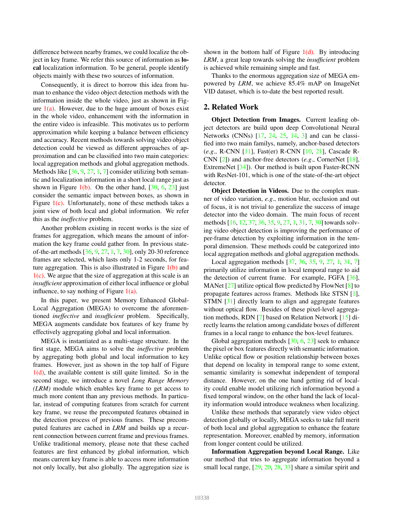difference between nearby frames, we could localize the object in key frame. We refer this source of information as local localization information. To be general, people identify objects mainly with these two sources of information.

Consequently, it is direct to borrow this idea from human to enhance the video object detection methods with the information inside the whole video, just as shown in Figure  $1(a)$ . However, due to the huge amount of boxes exist in the whole video, enhancement with the information in the entire video is infeasible. This motivates us to perform approximation while keeping a balance between efficiency and accuracy. Recent methods towards solving video object detection could be viewed as different approaches of approximation and can be classified into two main categories: local aggregation methods and global aggregation methods. Methods like [36, 9, 27, 1, 7] consider utilizing both semantic and localization information in a short local range just as shown in Figure  $1(b)$ . On the other hand, [30, 6, 23] just consider the semantic impact between boxes, as shown in Figure  $1(c)$ . Unfortunately, none of these methods takes a joint view of both local and global information. We refer this as the *ineffective* problem.

Another problem existing in recent works is the size of frames for aggregation, which means the amount of information the key frame could gather from. In previous stateof-the-art methods [36, 9, 27, 1, 7, 30], only 20-30 reference frames are selected, which lasts only 1-2 seconds, for feature aggregation. This is also illustrated in Figure  $1(b)$  and  $1(c)$ . We argue that the size of aggregation at this scale is an *insufficient* approximation of either local influence or global influence, to say nothing of Figure  $1(a)$ .

In this paper, we present Memory Enhanced Global-Local Aggregation (MEGA) to overcome the aforementioned *ineffective* and *insufficient* problem. Specifically, MEGA augments candidate box features of key frame by effectively aggregating global and local information.

MEGA is instantiated as a multi-stage structure. In the first stage, MEGA aims to solve the *ineffective* problem by aggregating both global and local information to key frames. However, just as shown in the top half of Figure  $1(d)$ , the available content is still quite limited. So in the second stage, we introduce a novel *Long Range Memory (LRM)* module which enables key frame to get access to much more content than any previous methods. In particular, instead of computing features from scratch for current key frame, we reuse the precomputed features obtained in the detection process of previous frames. These precomputed features are cached in *LRM* and builds up a recurrent connection between current frame and previous frames. Unlike traditional memory, please note that these cached features are first enhanced by global information, which means current key frame is able to access more information not only locally, but also globally. The aggregation size is shown in the bottom half of Figure  $1(d)$ . By introducing *LRM*, a great leap towards solving the *insufficient* problem is achieved while remaining simple and fast.

Thanks to the enormous aggregation size of MEGA empowered by *LRM*, we achieve 85.4% mAP on ImageNet VID dataset, which is to-date the best reported result.

# 2. Related Work

Object Detection from Images. Current leading object detectors are build upon deep Convolutional Neural Networks (CNNs) [17, 24, 25, 14, 3] and can be classified into two main familys, namely, anchor-based detectors (*e.g*., R-CNN [11], Fast(er) R-CNN [10, 21], Cascade R-CNN [2]) and anchor-free detectors (*e.g*., CornerNet [18], ExtremeNet [34]). Our method is built upon Faster-RCNN with ResNet-101, which is one of the state-of-the-art object detector.

Object Detection in Videos. Due to the complex manner of video variation, *e.g*., motion blur, occlusion and out of focus, it is not trivial to generalize the success of image detector into the video domain. The main focus of recent methods [16, 12, 37, 36, 35, 9, 27, 1, 31, 7, 30] towards solving video object detection is improving the performance of per-frame detection by exploiting information in the temporal dimension. These methods could be categorized into local aggregation methods and global aggregation methods.

Local aggregation methods [37, 36, 35, 9, 27, 1, 31, 7] primarily utilize information in local temporal range to aid the detection of current frame. For example, FGFA [36], MANet  $[27]$  utilize optical flow predicted by FlowNet  $[8]$  to propagate features across frames. Methods like STSN [1], STMN [31] directly learn to align and aggregate features without optical flow. Besides of these pixel-level aggregation methods, RDN [7] based on Relation Network [15] directly learns the relation among candidate boxes of different frames in a local range to enhance the box-level features.

Global aggregation methods [30, 6, 23] seek to enhance the pixel or box features directly with semantic information. Unlike optical flow or position relationship between boxes that depend on locality in temporal range to some extent, semantic similarity is somewhat independent of temporal distance. However, on the one hand getting rid of locality could enable model utilizing rich information beyond a fixed temporal window, on the other hand the lack of locality information would introduce weakness when localizing.

Unlike these methods that separately view video object detection globally or locally, MEGA seeks to take full merit of both local and global aggregation to enhance the feature representation. Moreover, enabled by memory, information from longer content could be utilized.

Information Aggregation beyond Local Range. Like our method that tries to aggregate information beyond a small local range,  $[29, 20, 28, 33]$  share a similar spirit and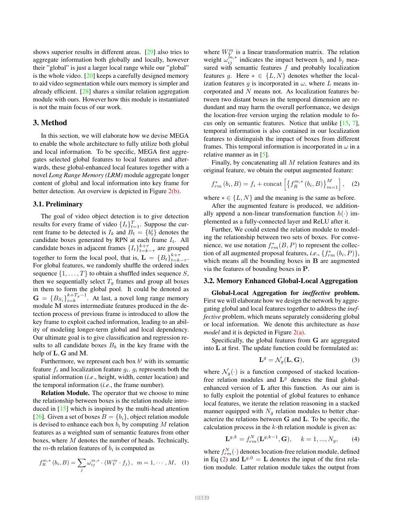shows superior results in different areas. [29] also tries to aggregate information both globally and locally, however their "global" is just a larger local range while our "global" is the whole video. [20] keeps a carefully designed memory to aid video segmentation while ours memory is simpler and already efficient. [28] shares a similar relation aggregation module with ours. However how this module is instantiated is not the main focus of our work.

# 3. Method

In this section, we will elaborate how we devise MEGA to enable the whole architecture to fully utilize both global and local information. To be specific, MEGA first aggregates selected global features to local features and afterwards, these global-enhanced local features together with a novel *Long Range Memory (LRM)* module aggregate longer content of global and local information into key frame for better detection. An overview is depicted in Figure 2(b).

## 3.1. Preliminary

The goal of video object detection is to give detection results for every frame of video  $\{I_t\}_{t=1}^T$ . Suppose the current frame to be detected is  $I_k$  and  $B_t = \{b_t^i\}$  denotes the candidate boxes generated by RPN at each frame  $I_t$ . All candidate boxes in adjacent frames  $\{I_t\}_{t=k-\tau}^{k+\tau}$  are grouped together to form the local pool, that is,  $\mathbf{L} = \{B_t\}_{t=k-\tau}^{k+\tau}$ . For global features, we randomly shuffle the ordered index sequence  $\{1, \ldots, T\}$  to obtain a shuffled index sequence S, then we sequentially select  $T_g$  frames and group all boxes in them to form the global pool. It could be denoted as  $G = \{B_{S_i}\}_{i=k}^{k+T_g-1}$ . At last, a novel long range memory module M stores intermediate features produced in the detection process of previous frame is introduced to allow the key frame to exploit cached information, leading to an ability of modeling longer-term global and local dependency. Our ultimate goal is to give classification and regression results to all candidate boxes  $B_k$  in the key frame with the help of L, G and M.

Furthermore, we represent each box  $b^i$  with its semantic feature  $f_i$  and localization feature  $g_i$ .  $g_i$  represents both the spatial information (*i.e*., height, width, center location) and the temporal information (*i.e*., the frame number).

Relation Module. The operator that we choose to mine the relationship between boxes is the relation module introduced in [15] which is inspired by the multi-head attention [26]. Given a set of boxes  $B = \{b_i\}$ , object relation module is devised to enhance each box  $b_i$  by computing M relation features as a weighted sum of semantic features from other boxes, where M denotes the number of heads. Technically, the  $m$ -th relation features of  $b_i$  is computed as

$$
f_{R}^{m,*}(b_i, B) = \sum_{j} \omega_{ij}^{m,*} \cdot (W_{V}^{m} \cdot f_j), \ \ m = 1, \cdots, M, \ \ (1)
$$

where  $W_V^m$  is a linear transformation matrix. The relation weight  $\omega_{ij}^{m,*}$  indicates the impact between  $b_i$  and  $b_j$  measured with semantic features  $f$  and probably localization features g. Here  $* \in \{L, N\}$  denotes whether the localization features g is incorporated in  $\omega$ , where L means incorporated and N means not. As localization features between two distant boxes in the temporal dimension are redundant and may harm the overall performance, we design the location-free version urging the relation module to focus only on semantic features. Notice that unlike [15, 7], temporal information is also contained in our localization features to distinguish the impact of boxes from different frames. This temporal information is incorporated in  $\omega$  in a relative manner as in  $[5]$ .

Finally, by concatenating all  $M$  relation features and its original feature, we obtain the output augmented feature:

$$
f_{rm}^{*}(b_{i}, B) = f_{i} + \text{concat}\left[\left\{f_{R}^{m,*}(b_{i}, B)\right\}_{m=1}^{M}\right], \quad (2)
$$

where  $* \in \{L, N\}$  and the meaning is the same as before.

After the augmented feature is produced, we additionally append a non-linear transformation function  $h(\cdot)$  implemented as a fully-connected layer and ReLU after it.

Further, We could extend the relation module to modeling the relationship between two sets of boxes. For convenience, we use notation  $f_{rm}^*(B, P)$  to represent the collection of all augmented proposal features, *i.e.*,  $\{f_{rm}^{*} (b_i, P)\},$ which means all the bounding boxes in B are augmented via the features of bounding boxes in P.

### 3.2. Memory Enhanced Global-Local Aggregation

Global-Local Aggregation for *ineffective* problem. First we will elaborate how we design the network by aggregating global and local features together to address the *ineffective* problem, which means separately considering global or local information. We denote this architecture as *base model* and it is depicted in Figure 2(a).

Specifically, the global features from G are aggregated into L at first. The update function could be formulated as:

$$
\mathbf{L}^g = \mathcal{N}_g(\mathbf{L}, \mathbf{G}),\tag{3}
$$

where  $\mathcal{N}_q(\cdot)$  is a function composed of stacked locationfree relation modules and  $L^g$  denotes the final globalenhanced version of L after this function. As our aim is to fully exploit the potential of global features to enhance local features, we iterate the relation reasoning in a stacked manner equipped with  $N<sub>g</sub>$  relation modules to better characterize the relations between G and L. To be specific, the calculation process in the  $k$ -th relation module is given as:

$$
\mathbf{L}^{g,k} = f_{rm}^{N}(\mathbf{L}^{g,k-1}, \mathbf{G}), \quad k = 1, ..., N_g, \quad (4)
$$

where  $f_{rm}^{N}(\cdot)$  denotes location-free relation module, defined in Eq (2) and  $\mathbf{L}^{g,0} = \mathbf{L}$  denotes the input of the first relation module. Latter relation module takes the output from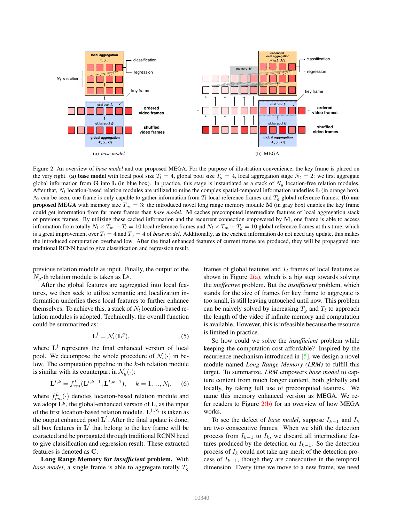

Figure 2. An overview of *base model* and our proposed MEGA. For the purpose of illustration convenience, the key frame is placed on the very right. (a) base model with local pool size  $T_l = 4$ , global pool size  $T_q = 4$ , local aggregation stage  $N_l = 2$ : we first aggregate global information from G into L (in blue box). In practice, this stage is instantiated as a stack of  $N_q$  location-free relation modules. After that,  $N_l$  location-based relation modules are utilized to mine the complex spatial-temporal information underlies  $\bf{L}$  (in orange box). As can be seen, one frame is only capable to gather information from  $T_l$  local reference frames and  $T_g$  global reference frames. (b) our **proposed MEGA** with memory size  $T_m = 3$ : the introduced novel long range memory module M (in gray box) enables the key frame could get information from far more frames than *base model*. M caches precomputed intermediate features of local aggregation stack of previous frames. By utilizing these cached information and the recurrent connection empowered by M, one frame is able to access information from totally  $N_l \times T_m + T_l = 10$  local reference frames and  $N_l \times T_m + T_g = 10$  global reference frames at this time, which is a great improvement over  $T_l = 4$  and  $T_g = 4$  of *base model*. Additionally, as the cached information do not need any update, this makes the introduced computation overhead low. After the final enhanced features of current frame are produced, they will be propagated into traditional RCNN head to give classification and regression result.

previous relation module as input. Finally, the output of the  $N_g$ -th relation module is taken as  $\mathbf{L}^g$ .

After the global features are aggregated into local features, we then seek to utilize semantic and localization information underlies these local features to further enhance themselves. To achieve this, a stack of  $N_l$  location-based relation modules is adopted. Technically, the overall function could be summarized as:

$$
\mathbf{L}^l = \mathcal{N}_l(\mathbf{L}^g),\tag{5}
$$

where  $L<sup>l</sup>$  represents the final enhanced version of local pool. We decompose the whole procedure of  $\mathcal{N}_l(\cdot)$  in below. The computation pipeline in the  $k$ -th relation module is similar with its counterpart in  $\mathcal{N}_g(\cdot)$ :

$$
\mathbf{L}^{l,k} = f_{rm}^{L}(\mathbf{L}^{l,k-1}, \mathbf{L}^{l,k-1}), \quad k = 1, ..., N_l,
$$
 (6)

where  $f_{rm}^{L}(\cdot)$  denotes location-based relation module and we adopt  $\mathbf{L}^g$ , the global-enhanced version of  $\mathbf{L}$ , as the input of the first location-based relation module.  $\mathbf{L}^{l,N_l}$  is taken as the output enhanced pool  $\mathbf{L}^l$ . After the final update is done, all box features in  $\mathbf{L}^l$  that belong to the key frame will be extracted and be propagated through traditional RCNN head to give classification and regression result. These extracted features is denoted as C.

Long Range Memory for *insufficient* problem. With *base model*, a single frame is able to aggregate totally  $T<sub>g</sub>$ 

frames of global features and  $T_l$  frames of local features as shown in Figure  $2(a)$ , which is a big step towards solving the *ineffective* problem. But the *insufficient* problem, which stands for the size of frames for key frame to aggregate is too small, is still leaving untouched until now. This problem can be naively solved by increasing  $T_g$  and  $T_l$  to approach the length of the video if infinite memory and computation is available. However, this is infeasible because the resource is limited in practice.

So how could we solve the *insufficient* problem while keeping the computation cost affordable? Inspired by the recurrence mechanism introduced in [5], we design a novel module named *Long Range Memory (LRM)* to fulfill this target. To summarize, *LRM* empowers *base model* to capture content from much longer content, both globally and locally, by taking full use of precomputed features. We name this memory enhanced version as MEGA. We refer readers to Figure  $2(b)$  for an overview of how MEGA works.

To see the defect of *base model*, suppose  $I_{k-1}$  and  $I_k$ are two consecutive frames. When we shift the detection process from  $I_{k-1}$  to  $I_k$ , we discard all intermediate features produced by the detection on  $I_{k-1}$ . So the detection process of  $I_k$  could not take any merit of the detection process of  $I_{k-1}$ , though they are consecutive in the temporal dimension. Every time we move to a new frame, we need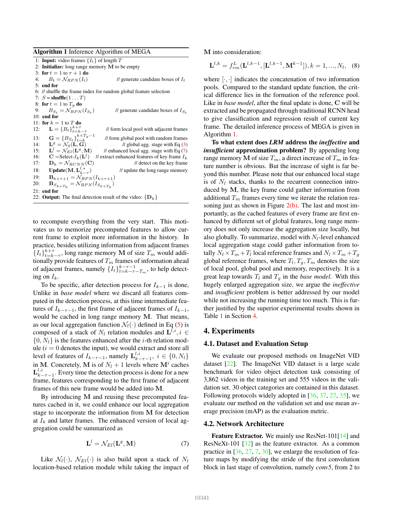#### Algorithm 1 Inference Algorithm of MEGA

1: **Input:** video frames  $\{I_t\}$  of length T 2: Initialize: long range memory M to be empty 3: for  $t = 1$  to  $\tau + 1$  do 4:  $B_t = \mathcal{N}_{RPN}(I_t)$  // generate candidate boxes of  $I_t$ 5: end for 6: // shuffle the frame index for random global feature selection 7:  $S = \text{shuffle}(1 \dots T)$ 8: for  $t = 1$  to  $T_g$  do 9:  $B_{S_t} = \mathcal{N}_{RPN}(I_{S_t})$ // generate candidate boxes of  $I_{S_t}$ 10: end for 11: for  $k = 1$  to  $T$  do 12:  $\mathbf{L} = \{B_t\}_{t=k-\tau}^{k+\tau}$ // form local pool with adjacent frames 13:  $\mathbf{G} = \{B_{S_t}\}_{t=k}^{k+T_g-1}$ // form global pool with random frames 14:  $\mathbf{L}^g = \mathcal{N}_q(\mathbf{L}, \mathbf{\overline{G}})$  // global agg. stage with Eq (3) 15:  $\mathbf{L}^l = \mathcal{N}_{El}(\mathbf{L}^g, \mathbf{M})$ <br>16:  $\mathbf{C} = \text{Select-}I_k(\mathbf{L}^l)$  $\frac{M}{R}$  enhanced local agg. stage with Eq (7)  $\mathbf{C} = \text{Select-}I_k(\mathbf{L}^l)$ // extract enhanced features of key frame  $I_k$ 17:  $\mathbf{D}_k = \mathcal{N}_{RCNN}(\mathbf{C})$  // detect on the key frame 18: Update(M,  $\mathbf{L}_{k-\tau}^{l,*}$ ) // update the long range memory 19:  $\mathbf{B}_{k+\tau+1} = \mathcal{N}_{RPN}(I_{k+\tau+1})$ 20:  $$ 21: end for 22: **Output:** The final detection result of the video:  $\{D_k\}$ 

to recompute everything from the very start. This motivates us to memorize precomputed features to allow current frame to exploit more information in the history. In practice, besides utilizing information from adjacent frames  ${I_t}_{t=k-\tau}^{k+\tau}$ , long range memory M of size  $T_m$  would additionally provide features of  $T_m$  frames of information ahead of adjacent frames, namely  $\{I_t\}_{t=k-\tau-T_m}^{k-\tau-1}$ , to help detecting on  $I_k$ .

To be specific, after detection process for  $I_{k-1}$  is done, Unlike in *base model* where we discard all features computed in the detection process, at this time intermediate features of  $I_{k-\tau-1}$ , the first frame of adjacent frames of  $I_{k-1}$ , would be cached in long range memory M. That means, as our local aggregation function  $\mathcal{N}_l(\cdot)$  defined in Eq (5) is composed of a stack of  $N_l$  relation modules and  $\mathbf{L}^{l,i}, i \in$  $\{0, N_l\}$  is the features enhanced after the *i*-th relation module  $(i = 0$  denotes the input), we would extract and store all level of features of  $I_{k-\tau-1}$ , namely  $\mathbf{L}_{k-\tau-1}^{l,i}$ ,  $i \in \{0, N_l\}$ in M. Concretely, M is of  $N_l + 1$  levels where  $M^i$  caches  $\mathbf{L}_{k-\tau-1}^{l,i}$ . Every time the detection process is done for a new frame, features corresponding to the first frame of adjacent frames of this new frame would be added into M.

By introducing M and reusing these precomputed features cached in it, we could enhance our local aggregation stage to incorporate the information from M for detection at  $I_k$  and latter frames. The enhanced version of local aggregation could be summarized as

$$
\mathbf{L}^l = \mathcal{N}_{El}(\mathbf{L}^g, \mathbf{M})\tag{7}
$$

Like  $\mathcal{N}_l(\cdot)$ ,  $\mathcal{N}_{El}(\cdot)$  is also build upon a stack of  $N_l$ location-based relation module while taking the impact of M into consideration:

$$
\mathbf{L}^{l,k} = f_{rm}^{L}(\mathbf{L}^{l,k-1}, [\mathbf{L}^{l,k-1}, \mathbf{M}^{k-1}]), k = 1, ..., N_l,
$$
 (8)

where  $[\cdot, \cdot]$  indicates the concatenation of two information pools. Compared to the standard update function, the critical difference lies in the formation of the reference pool. Like in *base model*, after the final update is done, C will be extracted and be propagated through traditional RCNN head to give classification and regression result of current key frame. The detailed inference process of MEGA is given in Algorithm 1.

To what extent does *LRM* address the *ineffective* and *insufficient* approximation problem? By appending long range memory M of size  $T_m$ , a direct increase of  $T_m$  in feature number is obvious. But the increase of sight is far beyond this number. Please note that our enhanced local stage is of  $N_l$  stacks, thanks to the recurrent connection introduced by M, the key frame could gather information from additional  $T_m$  frames every time we iterate the relation reasoning just as shown in Figure  $2(b)$ . The last and most importantly, as the cached features of every frame are first enhanced by different set of global features, long range memory does not only increase the aggregation size locally, but also globally. To summarize, model with  $N_l$ -level enhanced local aggregation stage could gather information from totally  $N_l \times T_m + T_l$  local reference frames and  $N_l \times T_m + T_g$ global reference frames, where  $T_l, T_g, T_m$  denotes the size of local pool, global pool and memory, respectively. It is a great leap towards  $T_l$  and  $T_g$  in the *base model*. With this hugely enlarged aggregation size, we argue the *ineffective* and *insufficient* problem is better addressed by our model while not increasing the running time too much. This is further justified by the superior experimental results shown in Table 1 in Section 4.

# 4. Experiments

## 4.1. Dataset and Evaluation Setup

We evaluate our proposed methods on ImageNet VID dataset [22]. The ImageNet VID dataset is a large scale benchmark for video object detection task consisting of 3,862 videos in the training set and 555 videos in the validation set. 30 object categories are contained in this dataset. Following protocols widely adopted in [36, 37, 27, 35], we evaluate our method on the validation set and use mean average precision (mAP) as the evaluation metric.

## 4.2. Network Architecture

Feature Extractor. We mainly use ResNet-101[14] and ResNeXt-101 [32] as the feature extractor. As a common practice in  $[36, 27, 7, 30]$ , we enlarge the resolution of feature maps by modifying the stride of the first convolution block in last stage of convolution, namely *conv5*, from 2 to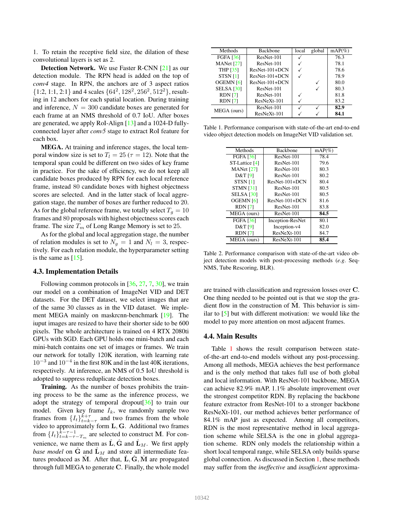1. To retain the receptive field size, the dilation of these convolutional layers is set as 2.

Detection Network. We use Faster R-CNN [21] as our detection module. The RPN head is added on the top of *conv4* stage. In RPN, the anchors are of 3 aspect ratios  $\{1:2, 1:1, 2:1\}$  and 4 scales  $\{64^2, 128^2, 256^2, 512^2\}$ , resulting in 12 anchors for each spatial location. During training and inference,  $N = 300$  candidate boxes are generated for each frame at an NMS threshold of 0.7 IoU. After boxes are generated, we apply RoI-Align [13] and a 1024-D fullyconnected layer after *conv5* stage to extract RoI feature for each box.

MEGA. At training and inference stages, the local temporal window size is set to  $T_l = 25$  ( $\tau = 12$ ). Note that the temporal span could be different on two sides of key frame in practice. For the sake of efficiency, we do not keep all candidate boxes produced by RPN for each local reference frame, instead 80 candidate boxes with highest objectness scores are selected. And in the latter stack of local aggregation stage, the number of boxes are further reduced to 20. As for the global reference frame, we totally select  $T<sub>g</sub> = 10$ frames and 80 proposals with highest objectness scores each frame. The size  $T_m$  of Long Range Memory is set to 25.

As for the global and local aggregation stage, the number of relation modules is set to  $N_g = 1$  and  $N_l = 3$ , respectively. For each relation module, the hyperparameter setting is the same as  $[15]$ .

## 4.3. Implementation Details

Following common protocols in [36, 27, 7, 30], we train our model on a combination of ImageNet VID and DET datasets. For the DET dataset, we select images that are of the same 30 classes as in the VID dataset. We implement MEGA mainly on maskrcnn-benchmark [19]. The iuput images are resized to have their shorter side to be 600 pixels. The whole architecture is trained on 4 RTX 2080ti GPUs with SGD. Each GPU holds one mini-batch and each mini-batch contains one set of images or frames. We train our network for totally 120K iteration, with learning rate 10<sup>−</sup><sup>3</sup> and 10<sup>−</sup><sup>4</sup> in the first 80K and in the last 40K iterations, respectively. At inference, an NMS of 0.5 IoU threshold is adopted to suppress reduplicate detection boxes.

**Training.** As the number of boxes prohibits the training process to be the same as the inference process, we adopt the strategy of temporal dropout[36] to train our model. Given key frame  $I_k$ , we randomly sample two frames from  $\{I_t\}_{t=k-\tau}^{k+\tau}$  and two frames from the whole video to approximately form L, G. Additional two frames from  $\{I_t\}_{t=k-\tau-T_m}^{k-\tau-1}$  are selected to construct M. For convenience, we name them as  $\hat{\mathbf{L}}$ ,  $\hat{\mathbf{G}}$  and  $\hat{\mathbf{L}}_M$ . We first apply *base model* on  $\tilde{G}$  and  $\tilde{L}_M$  and store all intermediate features produced as M. After that,  $L, G, M$  are propagated through full MEGA to generate C. Finally, the whole model

| Methods              | <b>Backbone</b> | local | global | $mAP(\%)$ |
|----------------------|-----------------|-------|--------|-----------|
| <b>FGFA [36]</b>     | ResNet-101      |       |        | 76.3      |
| MANet $[27]$         | ResNet-101      |       |        | 78.1      |
| <b>THP</b> [35]      | ResNet-101+DCN  |       |        | 78.6      |
| STSN <sub>[1]</sub>  | ResNet-101+DCN  |       |        | 78.9      |
| OGEMN <sub>[6]</sub> | ResNet-101+DCN  |       |        | 80.0      |
| <b>SELSA</b> [30]    | ResNet-101      |       |        | 80.3      |
| <b>RDN</b> [7]       | ResNet-101      |       |        | 81.8      |
| <b>RDN</b> [7]       | ResNeXt-101     |       |        | 83.2      |
| MEGA (ours)          | ResNet-101      |       |        | 82.9      |
|                      | ResNeXt-101     |       |        | 84.1      |

Table 1. Performance comparison with state-of-the-art end-to-end video object detection models on ImageNet VID validation set.

| Methods              | <b>Backbone</b>  | $mAP(\%)$ |
|----------------------|------------------|-----------|
| <b>FGFA [36]</b>     | ResNet-101       | 78.4      |
| ST-Lattice [4]       | ResNet-101       | 79.6      |
| MANet $[27]$         | ResNet-101       | 80.3      |
| D&T[9]               | ResNet-101       | 80.2      |
| STSN <sub>[1]</sub>  | $ResNet-101+DCN$ | 80.4      |
| <b>STMN [31]</b>     | ResNet-101       | 80.5      |
| <b>SELSA</b> [30]    | ResNet-101       | 80.5      |
| OGEMN <sub>[6]</sub> | $ResNet-101+DCN$ | 81.6      |
| <b>RDN</b> [7]       | ResNet-101       | 83.8      |
| MEGA (ours)          | ResNet-101       | 84.5      |
| <b>FGFA [36]</b>     | Inception-ResNet | 80.1      |
| D&T [9]              | Inception-v4     | 82.0      |
| <b>RDN</b> [7]       | $ResNeXt-101$    | 84.7      |
| MEGA (ours)          | ResNeXt-101      | 85.4      |

Table 2. Performance comparison with state-of-the-art video object detection models with post-processing methods (*e.g*. Seq-NMS, Tube Rescoring, BLR).

are trained with classification and regression losses over C. One thing needed to be pointed out is that we stop the gradient flow in the construction of  $\hat{M}$ . This behavior is similar to [5] but with different motivation: we would like the model to pay more attention on most adjacent frames.

#### 4.4. Main Results

Table 1 shows the result comparison between stateof-the-art end-to-end models without any post-processing. Among all methods, MEGA achieves the best performance and is the only method that takes full use of both global and local information. With ResNet-101 backbone, MEGA can achieve 82.9% mAP, 1.1% absolute improvement over the strongest competitor RDN. By replacing the backbone feature extractor from ResNet-101 to a stronger backbone ResNeXt-101, our method achieves better performance of 84.1% mAP just as expected. Among all competitors, RDN is the most representative method in local aggregation scheme while SELSA is the one in global aggregation scheme. RDN only models the relationship within a short local temporal range, while SELSA only builds sparse global connection. As discussed in Section 1, these methods may suffer from the *ineffective* and *insufficient* approxima-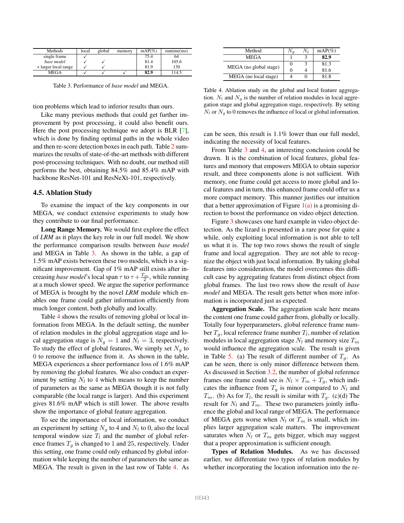| Methods              | local | global | memory | $mAP(\%)$ | $r$ untime $(ms)$ |
|----------------------|-------|--------|--------|-----------|-------------------|
| single frame         |       |        |        | 75.4      | 64                |
| base model           |       |        |        | 81.4      | 105.6             |
| + larger local range |       |        |        | 81.9      | 130               |
| MEGA                 |       |        |        | 82.9      | 114.5             |

Table 3. Performance of *base model* and MEGA.

tion problems which lead to inferior results than ours.

Like many previous methods that could get further improvement by post processing, it could also benefit ours. Here the post processing technique we adopt is BLR [7], which is done by finding optimal paths in the whole video and then re-score detection boxes in each path. Table 2 summarizes the results of state-of-the-art methods with different post-processing techniques. With no doubt, our method still performs the best, obtaining 84.5% and 85.4% mAP with backbone ResNet-101 and ResNeXt-101, respectively.

## 4.5. Ablation Study

To examine the impact of the key components in our MEGA, we conduct extensive experiments to study how they contribute to our final performance.

Long Range Memory. We would first explore the effect of *LRM* as it plays the key role in our full model. We show the performance comparison results between *base model* and MEGA in Table 3. As shown in the table, a gap of 1.5% mAP exists between these two models, which is a significant improvement. Gap of 1% mAP still exists after increasing *base model*'s local span  $\tau$  to  $\tau + \frac{T_m}{2}$ , while running at a much slower speed. We argue the superior performance of MEGA is brought by the novel *LRM* module which enables one frame could gather information efficiently from much longer content, both globally and locally.

Table 4 shows the results of removing global or local information from MEGA. In the default setting, the number of relation modules in the global aggregation stage and local aggregation stage is  $N_q = 1$  and  $N_l = 3$ , respectively. To study the effect of global features, We simply set  $N<sub>g</sub>$  to 0 to remove the influence from it. As shown in the table, MEGA experiences a sheer performance loss of 1.6% mAP by removing the global features. We also conduct an experiment by setting  $N_l$  to 4 which means to keep the number of parameters as the same as MEGA though it is not fully comparable (the local range is larger). And this experiment gives 81.6% mAP which is still lower. The above results show the importance of global feature aggregation.

To see the importance of local information, we conduct an experiment by setting  $N_g$  to 4 and  $N_l$  to 0, also the local temporal window size  $T_l$  and the number of global reference frames  $T<sub>g</sub>$  is changed to 1 and 25, respectively. Under this setting, one frame could only enhanced by global information while keeping the number of parameters the same as MEGA. The result is given in the last row of Table 4. As

| Method                 | $N_I$ | $mAP(\%)$ |
|------------------------|-------|-----------|
| <b>MEGA</b>            |       | 82.9      |
| MEGA (no global stage) |       | 81.3      |
|                        |       | 81.6      |
| MEGA (no local stage)  |       | 81.8      |

Table 4. Ablation study on the global and local feature aggregation.  $N_l$  and  $N_g$  is the number of relation modules in local aggregation stage and global aggregation stage, respectively. By setting  $N_l$  or  $N_q$  to 0 removes the influence of local or global information.

can be seen, this result is 1.1% lower than our full model, indicating the necessity of local features.

From Table 3 and 4, an interesting conclusion could be drawn. It is the combination of local features, global features and memory that empowers MEGA to obtain superior result, and three components alone is not sufficient. With memory, one frame could get access to more global and local features and in turn, this enhanced frame could offer us a more compact memory. This manner justifies our intuition that a better approximation of Figure  $1(a)$  is a promising direction to boost the performance on video object detection.

Figure 3 showcases one hard example in video object detection. As the lizard is presented in a rare pose for quite a while, only exploiting local information is not able to tell us what it is. The top two rows shows the result of single frame and local aggregation. They are not able to recognize the object with just local information. By taking global features into consideration, the model overcomes this difficult case by aggregating features from distinct object from global frames. The last two rows show the result of *base model* and MEGA. The result gets better when more information is incorporated just as expected.

Aggregation Scale. The aggregation scale here means the content one frame could gather from, globally or locally. Totally four hyperparameters, global reference frame number  $T_g$ , local reference frame number  $T_l$ , number of relation modules in local aggregation stage  $N_l$  and memory size  $T_m$ would influence the aggregation scale. The result is given in Table 5. (a) The result of different number of  $T<sub>q</sub>$ . As can be seen, there is only minor difference between them. As discussed in Section 3.2, the number of global reference frames one frame could see is  $N_l \times T_m + T_g$ , which indicates the influence from  $T_g$  is minor compared to  $N_l$  and  $T_m$ . (b) As for  $T_l$ , the result is similar with  $T_g$ . (c)(d) The result for  $N_l$  and  $T_m$ . These two parameters jointly influence the global and local range of MEGA. The performance of MEGA gets worse when  $N_l$  or  $T_m$  is small, which implies larger aggregation scale matters. The improvement saturates when  $N_l$  or  $T_m$  gets bigger, which may suggest that a proper approximation is sufficient enough.

Types of Relation Modules. As we has discussed earlier, we differentiate two types of relation modules by whether incorporating the location information into the re-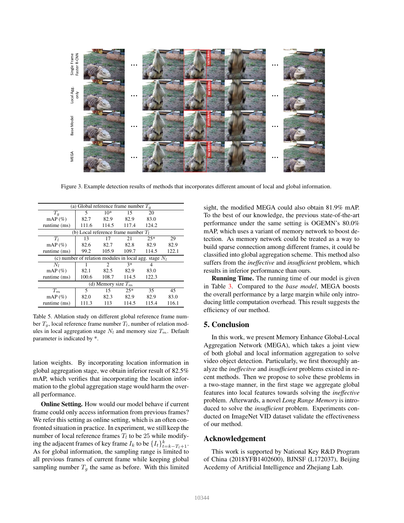

Figure 3. Example detection results of methods that incorporates different amount of local and global information.

| (a) Global reference frame number $T_a$                  |       |                                        |       |       |       |
|----------------------------------------------------------|-------|----------------------------------------|-------|-------|-------|
| $T_q$                                                    | 5     | $10*$                                  | 15    | 20    |       |
| $mAP(\%)$                                                | 82.7  | 82.9                                   | 82.9  | 83.0  |       |
| runtime $(ms)$                                           | 111.6 | 114.5                                  | 117.4 | 124.2 |       |
|                                                          |       | (b) Local reference frame number $T_1$ |       |       |       |
| $T_{l}$                                                  | 13    | 17                                     | 21    | $25*$ | 29    |
| $mAP(\%)$                                                | 82.6  | 82.7                                   | 82.8  | 82.9  | 82.9  |
| runtime (ms)                                             | 99.2  | 105.9                                  | 109.7 | 114.5 | 122.1 |
| (c) number of relation modules in local agg. stage $N_l$ |       |                                        |       |       |       |
| $N_I$                                                    |       | $\mathcal{D}_{\mathcal{L}}$            | $3*$  | 4     |       |
| $mAP(\%)$                                                | 82.1  | 82.5                                   | 82.9  | 83.0  |       |
| runtime (ms)                                             | 100.6 | 108.7                                  | 114.5 | 122.3 |       |
| (d) Memory size $T_m$                                    |       |                                        |       |       |       |
| $T_m$                                                    | 5     | 15                                     | $25*$ | 35    | 45    |
| $mAP(\%)$                                                | 82.0  | 82.3                                   | 82.9  | 82.9  | 83.0  |
| runtime (ms)                                             | 111.3 | 113                                    | 114.5 | 115.4 | 116.1 |

Table 5. Ablation study on different global reference frame number  $T_q$ , local reference frame number  $T_l$ , number of relation modules in local aggregation stage  $N_l$  and memory size  $T_m$ . Default parameter is indicated by \*.

lation weights. By incorporating location information in global aggregation stage, we obtain inferior result of 82.5% mAP, which verifies that incorporating the location information to the global aggregation stage would harm the overall performance.

Online Setting. How would our model behave if current frame could only access information from previous frames? We refer this setting as online setting, which is an often confronted situation in practice. In experiment, we still keep the number of local reference frames  $T_l$  to be 25 while modifying the adjacent frames of key frame  $I_k$  to be  $\{I_t\}_{t=k-T_l+1}^k$ . As for global information, the sampling range is limited to all previous frames of current frame while keeping global sampling number  $T_g$  the same as before. With this limited

sight, the modified MEGA could also obtain 81.9% mAP. To the best of our knowledge, the previous state-of-the-art performance under the same setting is OGEMN's 80.0% mAP, which uses a variant of memory network to boost detection. As memory network could be treated as a way to build sparse connection among different frames, it could be classified into global aggregation scheme. This method also suffers from the *ineffective* and *insufficient* problem, which results in inferior performance than ours.

**Running Time.** The running time of our model is given in Table 3. Compared to the *base model*, MEGA boosts the overall performance by a large margin while only introducing little computation overhead. This result suggests the efficiency of our method.

# 5. Conclusion

In this work, we present Memory Enhance Global-Local Aggregation Network (MEGA), which takes a joint view of both global and local information aggregation to solve video object detection. Particularly, we first thoroughly analyze the *ineffecitve* and *insufficient* problems existed in recent methods. Then we propose to solve these problems in a two-stage manner, in the first stage we aggregate global features into local features towards solving the *ineffective* problem. Afterwards, a novel *Long Range Memory* is introduced to solve the *insufficient* problem. Experiments conducted on ImageNet VID dataset validate the effectiveness of our method.

# Acknowledgement

This work is supported by National Key R&D Program of China (2018YFB1402600), BJNSF (L172037), Beijing Acedemy of Artificial Intelligence and Zhejiang Lab.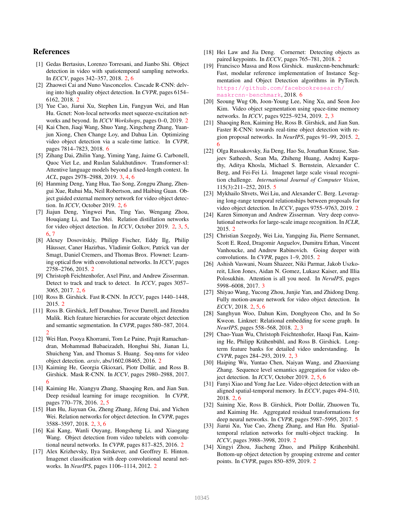# References

- [1] Gedas Bertasius, Lorenzo Torresani, and Jianbo Shi. Object detection in video with spatiotemporal sampling networks. In *ECCV*, pages 342–357, 2018. 2, 6
- [2] Zhaowei Cai and Nuno Vasconcelos. Cascade R-CNN: delving into high quality object detection. In *CVPR*, pages 6154– 6162, 2018. 2
- [3] Yue Cao, Jiarui Xu, Stephen Lin, Fangyun Wei, and Han Hu. Gcnet: Non-local networks meet squeeze-excitation networks and beyond. In *ICCV Workshops*, pages 0–0, 2019. 2
- [4] Kai Chen, Jiaqi Wang, Shuo Yang, Xingcheng Zhang, Yuanjun Xiong, Chen Change Loy, and Dahua Lin. Optimizing video object detection via a scale-time lattice. In *CVPR*, pages 7814–7823, 2018. 6
- [5] Zihang Dai, Zhilin Yang, Yiming Yang, Jaime G. Carbonell, Quoc Viet Le, and Ruslan Salakhutdinov. Transformer-xl: Attentive language models beyond a fixed-length context. In *ACL*, pages 2978–2988, 2019. 3, 4, 6
- [6] Hanming Deng, Yang Hua, Tao Song, Zongpu Zhang, Zhengui Xue, Ruhui Ma, Neil Robertson, and Haibing Guan. Object guided external memory network for video object detection. In *ICCV*, October 2019. 2, 6
- [7] Jiajun Deng, Yingwei Pan, Ting Yao, Wengang Zhou, Houqiang Li, and Tao Mei. Relation distillation networks for video object detection. In *ICCV*, October 2019. 2, 3, 5, 6, 7
- [8] Alexey Dosovitskiy, Philipp Fischer, Eddy Ilg, Philip Häusser, Caner Hazirbas, Vladimir Golkov, Patrick van der Smagt, Daniel Cremers, and Thomas Brox. Flownet: Learning optical flow with convolutional networks. In *ICCV*, pages 2758–2766, 2015. 2
- [9] Christoph Feichtenhofer, Axel Pinz, and Andrew Zisserman. Detect to track and track to detect. In *ICCV*, pages 3057– 3065, 2017. 2, 6
- [10] Ross B. Girshick. Fast R-CNN. In *ICCV*, pages 1440–1448, 2015. 2
- [11] Ross B. Girshick, Jeff Donahue, Trevor Darrell, and Jitendra Malik. Rich feature hierarchies for accurate object detection and semantic segmentation. In *CVPR*, pages 580–587, 2014. 2
- [12] Wei Han, Pooya Khorrami, Tom Le Paine, Prajit Ramachandran, Mohammad Babaeizadeh, Honghui Shi, Jianan Li, Shuicheng Yan, and Thomas S. Huang. Seq-nms for video object detection. *arxiv*, abs/1602.08465, 2016. 2
- [13] Kaiming He, Georgia Gkioxari, Piotr Dollár, and Ross B. Girshick. Mask R-CNN. In *ICCV*, pages 2980–2988, 2017. 6
- [14] Kaiming He, Xiangyu Zhang, Shaoqing Ren, and Jian Sun. Deep residual learning for image recognition. In *CVPR*, pages 770–778, 2016. 2, 5
- [15] Han Hu, Jiayuan Gu, Zheng Zhang, Jifeng Dai, and Yichen Wei. Relation networks for object detection. In *CVPR*, pages 3588–3597, 2018. 2, 3, 6
- [16] Kai Kang, Wanli Ouyang, Hongsheng Li, and Xiaogang Wang. Object detection from video tubelets with convolutional neural networks. In *CVPR*, pages 817–825, 2016. 2
- [17] Alex Krizhevsky, Ilya Sutskever, and Geoffrey E. Hinton. Imagenet classification with deep convolutional neural networks. In *NeurIPS*, pages 1106–1114, 2012. 2
- [18] Hei Law and Jia Deng. Cornernet: Detecting objects as paired keypoints. In *ECCV*, pages 765–781, 2018. 2
- [19] Francisco Massa and Ross Girshick. maskrcnn-benchmark: Fast, modular reference implementation of Instance Segmentation and Object Detection algorithms in PyTorch. https://github.com/facebookresearch/ maskrcnn-benchmark, 2018. 6
- [20] Seoung Wug Oh, Joon-Young Lee, Ning Xu, and Seon Joo Kim. Video object segmentation using space-time memory networks. In *ICCV*, pages 9225–9234, 2019. 2, 3
- [21] Shaoqing Ren, Kaiming He, Ross B. Girshick, and Jian Sun. Faster R-CNN: towards real-time object detection with region proposal networks. In *NeurIPS*, pages 91–99, 2015. 2, 6
- [22] Olga Russakovsky, Jia Deng, Hao Su, Jonathan Krause, Sanjeev Satheesh, Sean Ma, Zhiheng Huang, Andrej Karpathy, Aditya Khosla, Michael S. Bernstein, Alexander C. Berg, and Fei-Fei Li. Imagenet large scale visual recognition challenge. *International Journal of Computer Vision*, 115(3):211–252, 2015. 5
- [23] Mykhailo Shvets, Wei Liu, and Alexander C. Berg. Leveraging long-range temporal relationships between proposals for video object detection. In *ICCV*, pages 9755–9763, 2019. 2
- [24] Karen Simonyan and Andrew Zisserman. Very deep convolutional networks for large-scale image recognition. In *ICLR*, 2015. 2
- [25] Christian Szegedy, Wei Liu, Yangqing Jia, Pierre Sermanet, Scott E. Reed, Dragomir Anguelov, Dumitru Erhan, Vincent Vanhoucke, and Andrew Rabinovich. Going deeper with convolutions. In *CVPR*, pages 1–9, 2015. 2
- [26] Ashish Vaswani, Noam Shazeer, Niki Parmar, Jakob Uszkoreit, Llion Jones, Aidan N. Gomez, Lukasz Kaiser, and Illia Polosukhin. Attention is all you need. In *NeruIPS*, pages 5998–6008, 2017. 3
- [27] Shiyao Wang, Yucong Zhou, Junjie Yan, and Zhidong Deng. Fully motion-aware network for video object detection. In *ECCV*, 2018. 2, 5, 6
- [28] Sanghyun Woo, Dahun Kim, Donghyeon Cho, and In So Kweon. Linknet: Relational embedding for scene graph. In *NeurIPS*, pages 558–568, 2018. 2, 3
- [29] Chao-Yuan Wu, Christoph Feichtenhofer, Haoqi Fan, Kaiming He, Philipp Krähenbühl, and Ross B. Girshick. Longterm feature banks for detailed video understanding. In *CVPR*, pages 284–293, 2019. 2, 3
- [30] Haiping Wu, Yuntao Chen, Naiyan Wang, and Zhaoxiang Zhang. Sequence level semantics aggregation for video object detection. In *ICCV*, October 2019. 2, 5, 6
- [31] Fanyi Xiao and Yong Jae Lee. Video object detection with an aligned spatial-temporal memory. In *ECCV*, pages 494–510, 2018. 2. 6
- [32] Saining Xie, Ross B. Girshick, Piotr Dollár, Zhuowen Tu, and Kaiming He. Aggregated residual transformations for deep neural networks. In *CVPR*, pages 5987–5995, 2017. 5
- [33] Jiarui Xu, Yue Cao, Zheng Zhang, and Han Hu. Spatialtemporal relation networks for multi-object tracking. In *ICCV*, pages 3988–3998, 2019. 2
- [34] Xingyi Zhou, Jiacheng Zhuo, and Philipp Krähenbühl. Bottom-up object detection by grouping extreme and center points. In *CVPR*, pages 850–859, 2019. 2